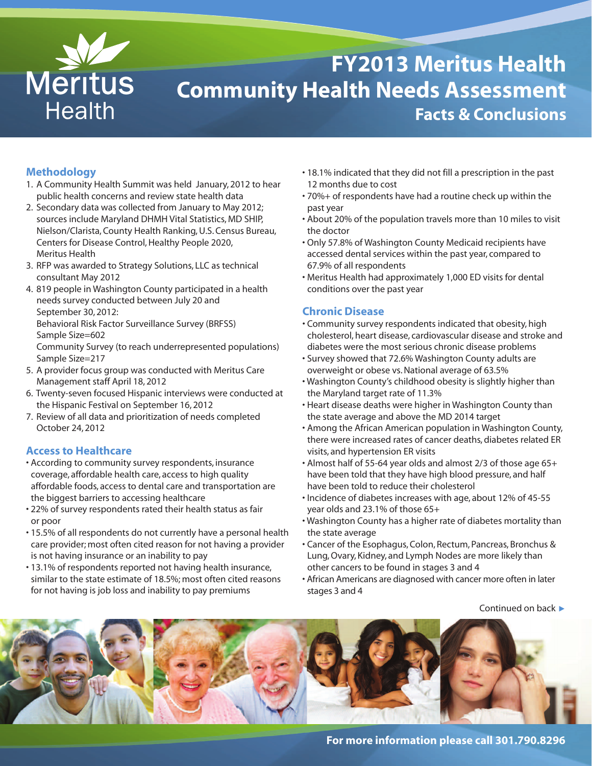

# **FY2013 Meritus Health Community Health Needs Assessment Facts & Conclusions**

# **Methodology**

- 1. A Community Health Summit was held January, 2012 to hear public health concerns and review state health data
- 2. Secondary data was collected from January to May 2012; sources include Maryland DHMH Vital Statistics, MD SHIP, Nielson/Clarista, County Health Ranking, U.S. Census Bureau, Centers for Disease Control, Healthy People 2020, Meritus Health
- 3. RFP was awarded to Strategy Solutions, LLC as technical consultant May 2012
- 4. 819 people in Washington County participated in a health needs survey conducted between July 20 and September 30, 2012: Behavioral Risk Factor Surveillance Survey (BRFSS) Sample Size=602

Community Survey (to reach underrepresented populations) Sample Size=217

- 5. A provider focus group was conducted with Meritus Care Management staff April 18, 2012
- 6. Twenty-seven focused Hispanic interviews were conducted at the Hispanic Festival on September 16, 2012
- 7. Review of all data and prioritization of needs completed October 24, 2012

# **Access to Healthcare**

- According to community survey respondents, insurance coverage, affordable health care, access to high quality affordable foods, access to dental care and transportation are the biggest barriers to accessing healthcare
- 22% of survey respondents rated their health status as fair or poor
- 15.5% of all respondents do not currently have a personal health care provider; most often cited reason for not having a provider is not having insurance or an inability to pay
- 13.1% of respondents reported not having health insurance, similar to the state estimate of 18.5%; most often cited reasons for not having is job loss and inability to pay premiums
- 18.1% indicated that they did not fill a prescription in the past 12 months due to cost
- 70%+ of respondents have had a routine check up within the past year
- About 20% of the population travels more than 10 miles to visit the doctor
- Only 57.8% of Washington County Medicaid recipients have accessed dental services within the past year, compared to 67.9% of all respondents
- Meritus Health had approximately 1,000 ED visits for dental conditions over the past year

# **Chronic Disease**

- Community survey respondents indicated that obesity, high cholesterol, heart disease, cardiovascular disease and stroke and diabetes were the most serious chronic disease problems
- Survey showed that 72.6% Washington County adults are overweight or obese vs.National average of 63.5%
- Washington County's childhood obesity is slightly higher than the Maryland target rate of 11.3%
- Heart disease deaths were higher in Washington County than the state average and above the MD 2014 target
- Among the African American population in Washington County, there were increased rates of cancer deaths, diabetes related ER visits, and hypertension ER visits
- Almost half of 55-64 year olds and almost 2/3 of those age 65+ have been told that they have high blood pressure, and half have been told to reduce their cholesterol
- Incidence of diabetes increases with age, about 12% of 45-55 year olds and 23.1% of those 65+
- Washington County has a higher rate of diabetes mortality than the state average
- Cancer of the Esophagus, Colon, Rectum, Pancreas, Bronchus & Lung,Ovary, Kidney, and Lymph Nodes are more likely than other cancers to be found in stages 3 and 4
- African Americans are diagnosed with cancer more often in later stages 3 and 4

Continued on back **t**